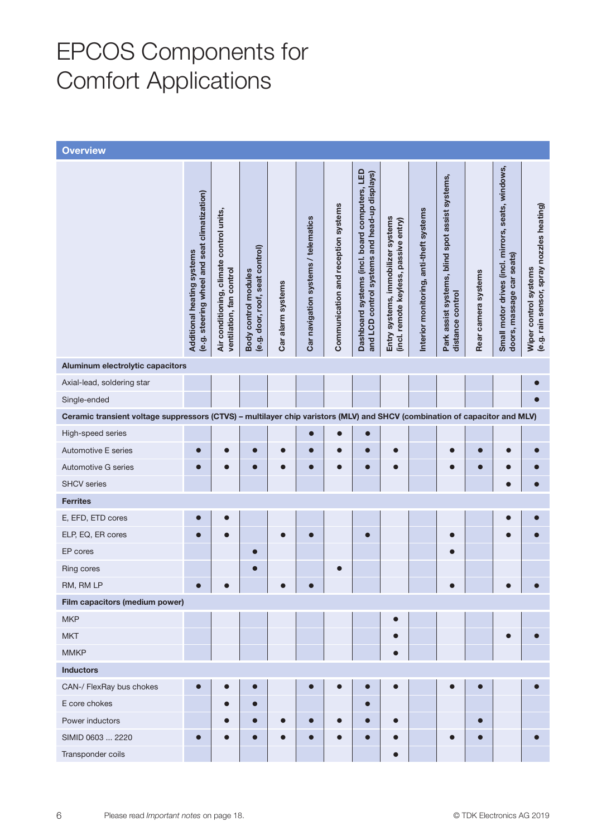## EPCOS Components for Comfort Applications

| <b>Overview</b>                                                                                                            |                                                                            |                                                                      |                                                         |                   |                                     |                                     |                                                                                                |                                                                             |                                         |                                                                     |                     |                                                                                 |                                                                    |
|----------------------------------------------------------------------------------------------------------------------------|----------------------------------------------------------------------------|----------------------------------------------------------------------|---------------------------------------------------------|-------------------|-------------------------------------|-------------------------------------|------------------------------------------------------------------------------------------------|-----------------------------------------------------------------------------|-----------------------------------------|---------------------------------------------------------------------|---------------------|---------------------------------------------------------------------------------|--------------------------------------------------------------------|
|                                                                                                                            | (e.g. steering wheel and seat climatization)<br>Additional heating systems | Air conditioning, climate control units,<br>ventilation, fan control | (e.g. door, roof, seat control)<br>Body control modules | Car alarm systems | Car navigation systems / telematics | Communication and reception systems | Dashboard systems (incl. board computers, LED<br>and LCD control systems and head-up displays) | Entry systems, immobilizer systems<br>(incl. remote keyless, passive entry) | Interior monitoring, anti-theft systems | Park assist systems, blind spot assist systems,<br>distance control | Rear camera systems | Small motor drives (incl. mirrors, seats, windows,<br>doors, massage car seats) | (e.g. rain sensor, spray nozzles heating)<br>Wiper control systems |
| Aluminum electrolytic capacitors                                                                                           |                                                                            |                                                                      |                                                         |                   |                                     |                                     |                                                                                                |                                                                             |                                         |                                                                     |                     |                                                                                 |                                                                    |
| Axial-lead, soldering star                                                                                                 |                                                                            |                                                                      |                                                         |                   |                                     |                                     |                                                                                                |                                                                             |                                         |                                                                     |                     |                                                                                 |                                                                    |
| Single-ended                                                                                                               |                                                                            |                                                                      |                                                         |                   |                                     |                                     |                                                                                                |                                                                             |                                         |                                                                     |                     |                                                                                 |                                                                    |
| Ceramic transient voltage suppressors (CTVS) - multilayer chip varistors (MLV) and SHCV (combination of capacitor and MLV) |                                                                            |                                                                      |                                                         |                   |                                     |                                     |                                                                                                |                                                                             |                                         |                                                                     |                     |                                                                                 |                                                                    |
| High-speed series                                                                                                          |                                                                            |                                                                      |                                                         |                   | $\bullet$                           | O                                   | $\bullet$                                                                                      |                                                                             |                                         |                                                                     |                     |                                                                                 |                                                                    |
| Automotive E series                                                                                                        |                                                                            | $\bullet$                                                            | $\bullet$                                               | $\bullet$         | O                                   | $\bullet$                           | $\bullet$                                                                                      | $\bullet$                                                                   |                                         | $\bullet$                                                           | $\bullet$           |                                                                                 |                                                                    |
| Automotive G series                                                                                                        | $\bullet$                                                                  | $\bullet$                                                            | $\bullet$                                               | $\bullet$         | $\bullet$                           | $\bullet$                           | $\bullet$                                                                                      | $\bullet$                                                                   |                                         | $\bullet$                                                           | $\bullet$           |                                                                                 |                                                                    |
| <b>SHCV</b> series                                                                                                         |                                                                            |                                                                      |                                                         |                   |                                     |                                     |                                                                                                |                                                                             |                                         |                                                                     |                     |                                                                                 |                                                                    |
| <b>Ferrites</b>                                                                                                            |                                                                            |                                                                      |                                                         |                   |                                     |                                     |                                                                                                |                                                                             |                                         |                                                                     |                     |                                                                                 |                                                                    |
| E, EFD, ETD cores                                                                                                          |                                                                            |                                                                      |                                                         |                   |                                     |                                     |                                                                                                |                                                                             |                                         |                                                                     |                     |                                                                                 |                                                                    |
| ELP, EQ, ER cores                                                                                                          |                                                                            |                                                                      |                                                         |                   |                                     |                                     | $\bullet$                                                                                      |                                                                             |                                         |                                                                     |                     |                                                                                 |                                                                    |
| EP cores                                                                                                                   |                                                                            |                                                                      | $\bullet$                                               |                   |                                     |                                     |                                                                                                |                                                                             |                                         |                                                                     |                     |                                                                                 |                                                                    |
| Ring cores                                                                                                                 |                                                                            |                                                                      |                                                         |                   |                                     | $\bullet$                           |                                                                                                |                                                                             |                                         |                                                                     |                     |                                                                                 |                                                                    |
| RM, RM LP                                                                                                                  |                                                                            |                                                                      |                                                         |                   |                                     |                                     |                                                                                                |                                                                             |                                         |                                                                     |                     |                                                                                 |                                                                    |
| Film capacitors (medium power)                                                                                             |                                                                            |                                                                      |                                                         |                   |                                     |                                     |                                                                                                |                                                                             |                                         |                                                                     |                     |                                                                                 |                                                                    |
| <b>MKP</b>                                                                                                                 |                                                                            |                                                                      |                                                         |                   |                                     |                                     |                                                                                                |                                                                             |                                         |                                                                     |                     |                                                                                 |                                                                    |
| <b>MKT</b>                                                                                                                 |                                                                            |                                                                      |                                                         |                   |                                     |                                     |                                                                                                |                                                                             |                                         |                                                                     |                     |                                                                                 |                                                                    |
| <b>MMKP</b>                                                                                                                |                                                                            |                                                                      |                                                         |                   |                                     |                                     |                                                                                                |                                                                             |                                         |                                                                     |                     |                                                                                 |                                                                    |
| <b>Inductors</b>                                                                                                           |                                                                            |                                                                      |                                                         |                   |                                     |                                     |                                                                                                |                                                                             |                                         |                                                                     |                     |                                                                                 |                                                                    |
| CAN-/ FlexRay bus chokes                                                                                                   |                                                                            |                                                                      | $\bullet$                                               |                   |                                     |                                     | $\bullet$                                                                                      |                                                                             |                                         |                                                                     |                     |                                                                                 |                                                                    |
| E core chokes                                                                                                              |                                                                            |                                                                      | $\bullet$                                               |                   |                                     |                                     | $\bullet$                                                                                      |                                                                             |                                         |                                                                     |                     |                                                                                 |                                                                    |
| Power inductors                                                                                                            |                                                                            |                                                                      |                                                         |                   |                                     |                                     | $\bullet$                                                                                      |                                                                             |                                         |                                                                     | ┍                   |                                                                                 |                                                                    |
| SIMID 0603  2220                                                                                                           |                                                                            |                                                                      |                                                         |                   |                                     |                                     |                                                                                                |                                                                             |                                         |                                                                     |                     |                                                                                 |                                                                    |
| Transponder coils                                                                                                          |                                                                            |                                                                      |                                                         |                   |                                     |                                     |                                                                                                |                                                                             |                                         |                                                                     |                     |                                                                                 |                                                                    |